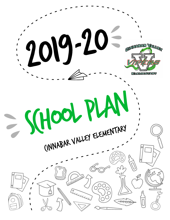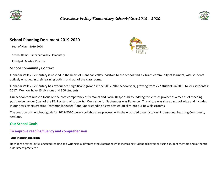

# *Cinnabar Valley Elementary School Plan 2019 – 2020*



## **School Planning Document 2019-2020**

Year of Plan: 2019-2020

School Name: Cinnabar Valley Elementary

Principal: Marisol Chatton

#### **School Community Context**



Cinnabar Valley Elementary is nestled in the heart of Cinnabar Valley. Visitors to the school find a vibrant community of learners, with students actively engaged in their learning both in and out of the classrooms.

Cinnabar Valley Elementary has experienced significant growth in the 2017-2018 school year, growing from 272 students in 2016 to 293 students in 2017. We now have 13 divisions and 300 students.

Our school continues to focus on the core competency of Personal and Social Responsibility, adding the Virtues project as a means of teaching positive behaviour (part of the PBIS system of supports). Our virtue for September was Patience. This virtue was shared school wide and included in our newsletters creating "common language," and understanding as we settled quickly into our new classrooms.

The creation of the school goals for 2019-2020 were a collaborative process, with the work tied directly to our Professional Learning Community sessions.

#### **Our School Goals**

### **To improve reading fluency and comprehension**

#### **Our Inquiry question:**

How do we foster joyful, engaged reading and writing in a differentiated classroom while increasing student achievement using student mentors and authentic assessment practices?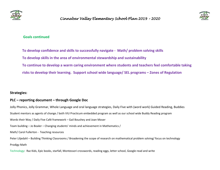

# *Cinnabar Valley Elementary School Plan 2019 – 2020*



#### **Goals continued**

 **To develop confidence and skills to successfully navigate - Math/ problem solving skills To develop skills in the area of environmental stewardship and sustainability To continue to develop a warm caring environment where students and teachers feel comfortable taking risks to develop their learning. Support school wide language/ SEL programs – Zones of Regulation** 

### **Strategies:**

## **PLC – reporting document – through Google Doc**

Jolly Phonics, Jolly Grammar, Whole Language and oral language strategies, Daily Five with (word work) Guided Reading, Buddies Student mentors as agents of change / both VIU Practicum embedded program as well as our school wide Buddy Reading program Words their Way / Daily Five Café framework – Gail Boushey and Joan Moser Team building – Jo Boaler – Changing students' minds and achievement in Mathematics / Math/ Carol Fullerton - Teaching resources Peter Liljedahl – Building Thinking Classrooms / Broadening the scope of research on mathematical problem solving/ focus on technology Prodigy Math Technology: Raz Kids, Epic books, starfall, Montessori crosswords, reading eggs, letter school, Google read and write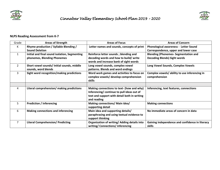

# *Cinnabar Valley Elementary School Plan 2019 – 2020*



#### **NLPS Reading Assessment from K-7**

| Grade          | <b>Areas of Strength</b>                                                     | <b>Areas of Focus</b>                                                                                                                                 | <b>Areas of Concern</b>                                                            |
|----------------|------------------------------------------------------------------------------|-------------------------------------------------------------------------------------------------------------------------------------------------------|------------------------------------------------------------------------------------|
| K.             | <b>Rhyme production / Syllable Blending /</b><br><b>Sound Deletion</b>       | Letter names and sounds, concepts of print                                                                                                            | Phonological awareness - Letter Sound<br>Correspondence, upper and lower case      |
| $\mathbf{1}$   | Initial and final sound isolation, Segmenting<br>phonemes, Blending Phonemes | Reinforce letter sounds; blending and<br>decoding words and how to build/write<br>words and increase bank of sight words                              | <b>Blending (Phonemes- Segmentation and</b><br><b>Decoding Blends) Sight words</b> |
| $\mathfrak{D}$ | Short vowel sounds/ Initial sounds, middle<br>sounds, word blends            | Long vowel sounds, complex vowel<br>patterns. Blends and word endings                                                                                 | Long Vowel Sounds, Complex Vowels                                                  |
| 3              | Sight word recognition/making predictions                                    | Word work games and activities to focus on<br>complex vowels/ develop comprehension<br>skills                                                         | Complex vowels/ ability to use inferencing in<br>comprehension                     |
|                |                                                                              |                                                                                                                                                       |                                                                                    |
| 4              | Literal comprehension/ making predictions                                    | Making connections to text- (how and why)<br>Inferencing/continue to pull ideas out of<br>text and support with detail both in writing<br>and reading | Inferencing, text features, connections                                            |
| 5              | <b>Prediction / Inferencing</b>                                              | Making connections/ Main idea/<br>supporting detail                                                                                                   | <b>Making connections</b>                                                          |
| 6              | <b>Making connections and inferencing</b>                                    | Main idea and supporting details/<br>paraphrasing and using textual evidence to<br>support thinking                                                   | No immediate areas of concern in data                                              |
| $\overline{7}$ | <b>Literal Comprehension/ Predicting</b>                                     | Organization of writing/ Adding details into<br>writing/Connections/inferencing                                                                       | Gaining independence and confidence in literacy<br>skills                          |